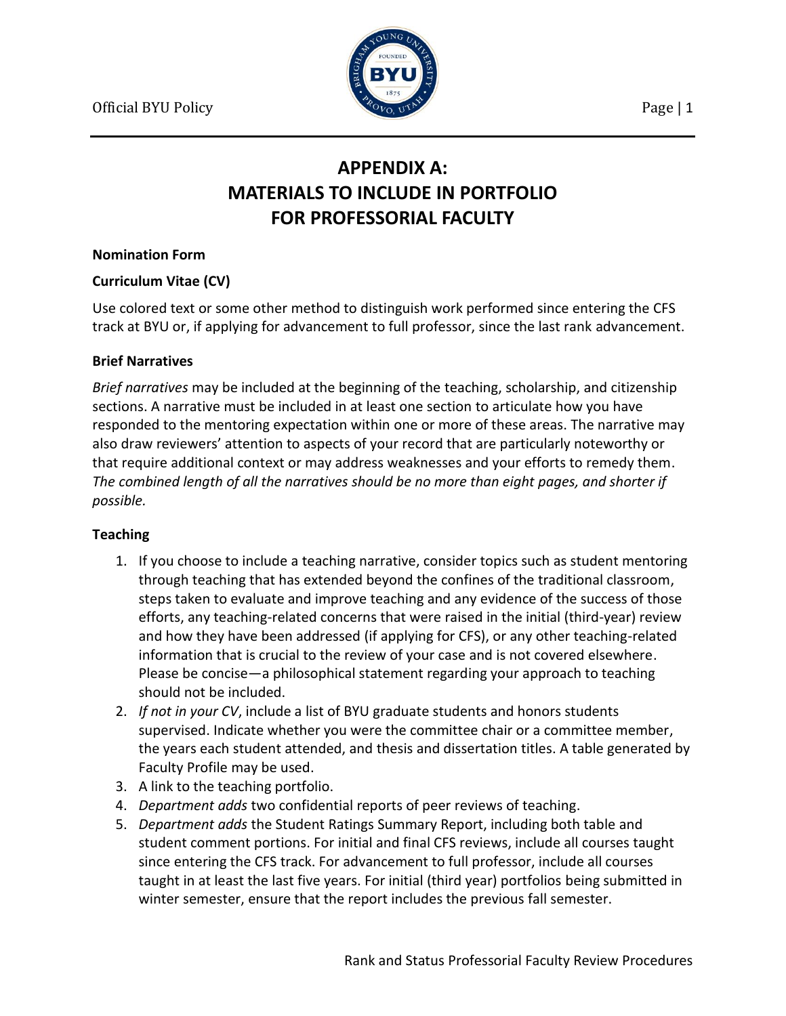

# **APPENDIX A: MATERIALS TO INCLUDE IN PORTFOLIO FOR PROFESSORIAL FACULTY**

#### **Nomination Form**

# **Curriculum Vitae (CV)**

Use colored text or some other method to distinguish work performed since entering the CFS track at BYU or, if applying for advancement to full professor, since the last rank advancement.

## **Brief Narratives**

*Brief narratives* may be included at the beginning of the teaching, scholarship, and citizenship sections. A narrative must be included in at least one section to articulate how you have responded to the mentoring expectation within one or more of these areas. The narrative may also draw reviewers' attention to aspects of your record that are particularly noteworthy or that require additional context or may address weaknesses and your efforts to remedy them. *The combined length of all the narratives should be no more than eight pages, and shorter if possible.*

#### **Teaching**

- 1. If you choose to include a teaching narrative, consider topics such as student mentoring through teaching that has extended beyond the confines of the traditional classroom, steps taken to evaluate and improve teaching and any evidence of the success of those efforts, any teaching-related concerns that were raised in the initial (third-year) review and how they have been addressed (if applying for CFS), or any other teaching-related information that is crucial to the review of your case and is not covered elsewhere. Please be concise—a philosophical statement regarding your approach to teaching should not be included.
- 2. *If not in your CV*, include a list of BYU graduate students and honors students supervised. Indicate whether you were the committee chair or a committee member, the years each student attended, and thesis and dissertation titles. A table generated by Faculty Profile may be used.
- 3. A link to the teaching portfolio.
- 4. *Department adds* two confidential reports of peer reviews of teaching.
- 5. *Department adds* the Student Ratings Summary Report, including both table and student comment portions. For initial and final CFS reviews, include all courses taught since entering the CFS track. For advancement to full professor, include all courses taught in at least the last five years. For initial (third year) portfolios being submitted in winter semester, ensure that the report includes the previous fall semester.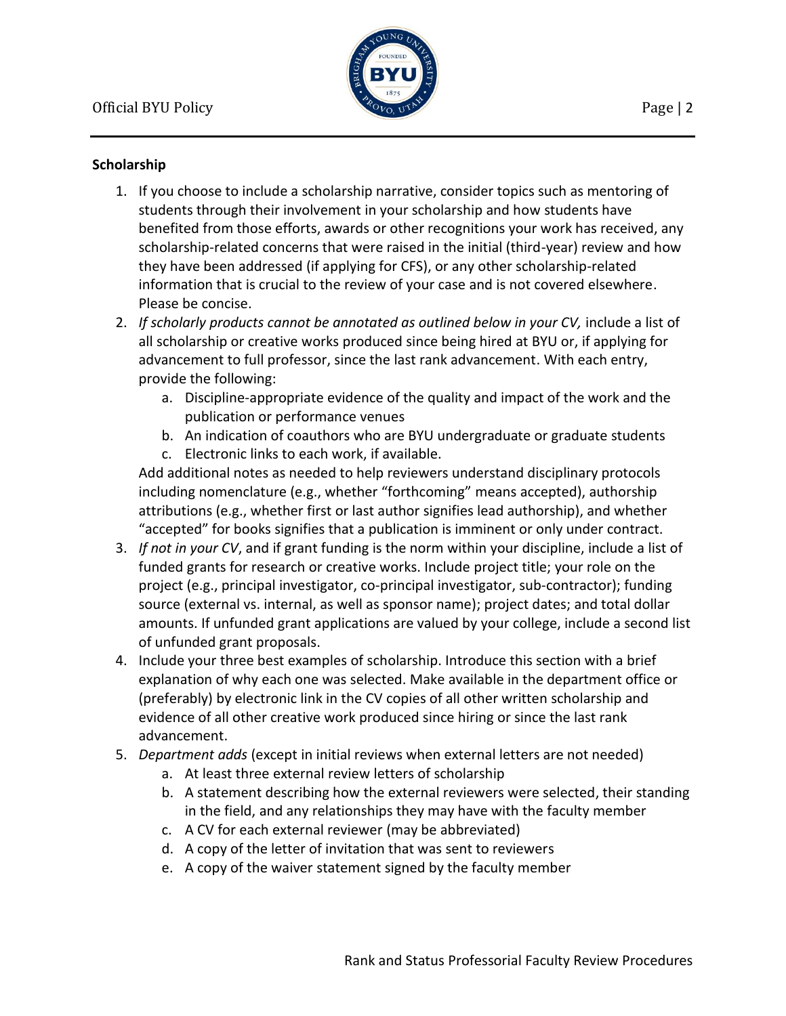

## **Scholarship**

- 1. If you choose to include a scholarship narrative, consider topics such as mentoring of students through their involvement in your scholarship and how students have benefited from those efforts, awards or other recognitions your work has received, any scholarship-related concerns that were raised in the initial (third-year) review and how they have been addressed (if applying for CFS), or any other scholarship-related information that is crucial to the review of your case and is not covered elsewhere. Please be concise.
- 2. If scholarly products cannot be annotated as outlined below in your CV, include a list of all scholarship or creative works produced since being hired at BYU or, if applying for advancement to full professor, since the last rank advancement. With each entry, provide the following:
	- a. Discipline-appropriate evidence of the quality and impact of the work and the publication or performance venues
	- b. An indication of coauthors who are BYU undergraduate or graduate students
	- c. Electronic links to each work, if available.

Add additional notes as needed to help reviewers understand disciplinary protocols including nomenclature (e.g., whether "forthcoming" means accepted), authorship attributions (e.g., whether first or last author signifies lead authorship), and whether "accepted" for books signifies that a publication is imminent or only under contract.

- 3. *If not in your CV*, and if grant funding is the norm within your discipline, include a list of funded grants for research or creative works. Include project title; your role on the project (e.g., principal investigator, co-principal investigator, sub-contractor); funding source (external vs. internal, as well as sponsor name); project dates; and total dollar amounts. If unfunded grant applications are valued by your college, include a second list of unfunded grant proposals.
- 4. Include your three best examples of scholarship. Introduce this section with a brief explanation of why each one was selected. Make available in the department office or (preferably) by electronic link in the CV copies of all other written scholarship and evidence of all other creative work produced since hiring or since the last rank advancement.
- 5. *Department adds* (except in initial reviews when external letters are not needed)
	- a. At least three external review letters of scholarship
	- b. A statement describing how the external reviewers were selected, their standing in the field, and any relationships they may have with the faculty member
	- c. A CV for each external reviewer (may be abbreviated)
	- d. A copy of the letter of invitation that was sent to reviewers
	- e. A copy of the waiver statement signed by the faculty member